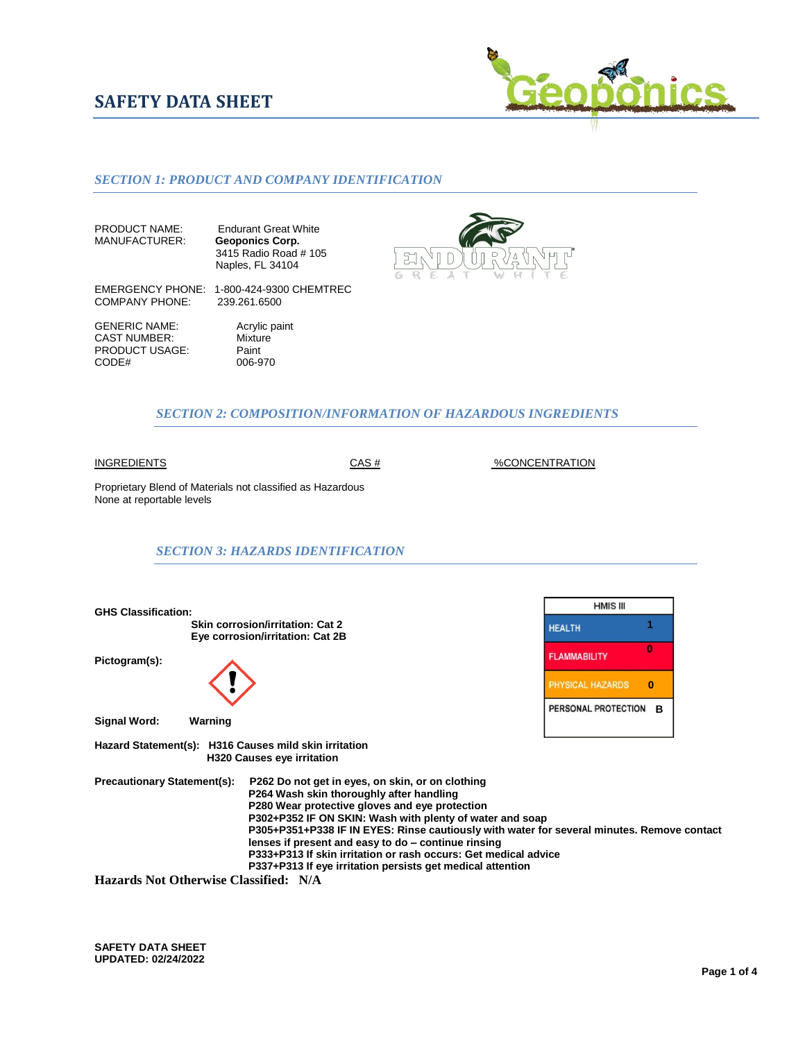# **SAFETY DATA SHEET**



## *SECTION 1: PRODUCT AND COMPANY IDENTIFICATION*

PRODUCT NAME: Endurant Great White<br>MANUFACTURER: Geoponics Corp. **Geoponics Corp.**  3415 Radio Road # 105 Naples, FL 34104



EMERGENCY PHONE: 1-800-424-9300 CHEMTREC<br>COMPANY PHONE: 239.261.6500 COMPANY PHONE:

GENERIC NAME:<br>
CAST NUMBER: Mixture CAST NUMBER: PRODUCT USAGE: Paint<br>CODE# 006-9

006-970

## *SECTION 2: COMPOSITION/INFORMATION OF HAZARDOUS INGREDIENTS*

INGREDIENTS CAS #%CONCENTRATION

Proprietary Blend of Materials not classified as Hazardous None at reportable levels

#### *SECTION 3: HAZARDS IDENTIFICATION*

**HMIS III GHS Classification: Skin corrosion/irritation: Cat 2 1 Eye corrosion/irritation: Cat 2B 0 FLAMMABILITY Pictogram(s): PHYSICAL HAZARDS** 0  **B Signal Word: Warning Hazard Statement(s): H316 Causes mild skin irritation H320 Causes eye irritation Precautionary Statement(s): P262 Do not get in eyes, on skin, or on clothing P264 Wash skin thoroughly after handling P280 Wear protective gloves and eye protection P302+P352 IF ON SKIN: Wash with plenty of water and soap P305+P351+P338 IF IN EYES: Rinse cautiously with water for several minutes. Remove contact lenses if present and easy to do – continue rinsing P333+P313 If skin irritation or rash occurs: Get medical advice P337+P313 If eye irritation persists get medical attention**

**Hazards Not Otherwise Classified: N/A**

**SAFETY DATA SHEET UPDATED: 02/24/2022**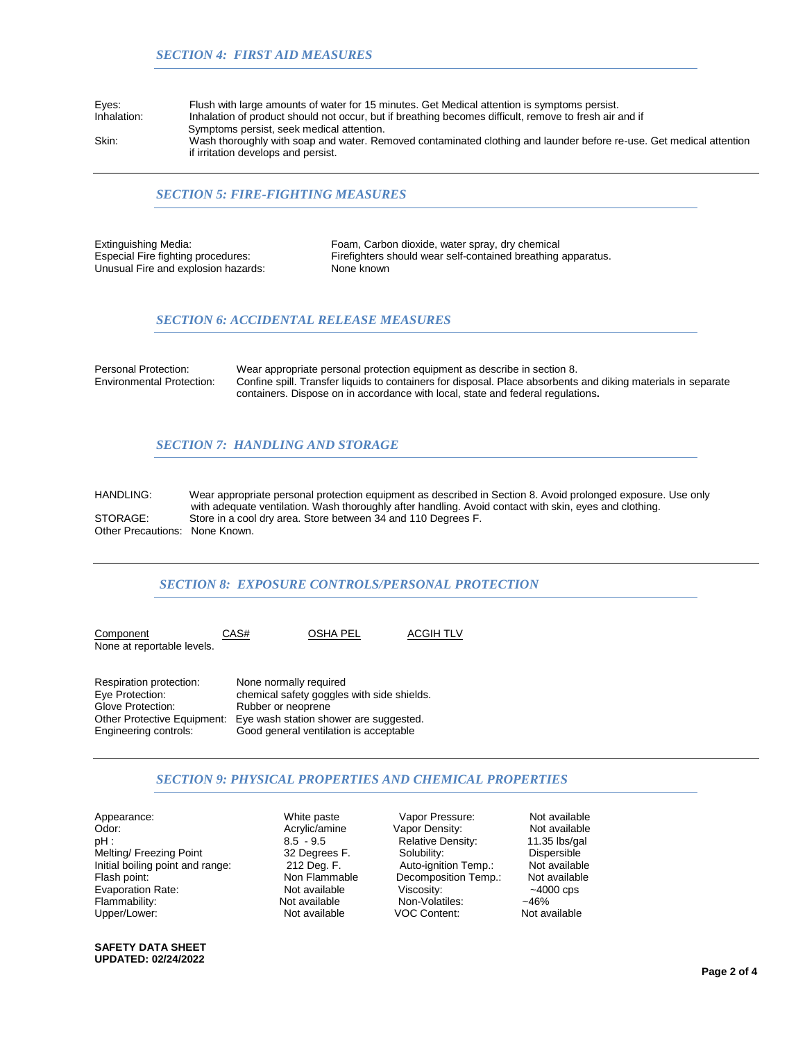| Eyes:       | Flush with large amounts of water for 15 minutes. Get Medical attention is symptoms persist.           |
|-------------|--------------------------------------------------------------------------------------------------------|
| Inhalation: | Inhalation of product should not occur, but if breathing becomes difficult, remove to fresh air and if |
|             | Symptoms persist, seek medical attention.                                                              |
| Skin:       | Wash thoroughly with soap and water. Removed contaminated clothing and launder before re-use           |

Skin: Wash thoroughly with soap and water. Removed contaminated clothing and launder before re-use. Get medical attention if irritation develops and persist.

## *SECTION 5: FIRE-FIGHTING MEASURES*

Unusual Fire and explosion hazards:

Extinguishing Media: Foam, Carbon dioxide, water spray, dry chemical Especial Fire fighting procedures: Firefighters should wear self-contained breathing apparatus.<br>Unusual Fire and explosion hazards: None known

## *SECTION 6: ACCIDENTAL RELEASE MEASURES*

Personal Protection: Wear appropriate personal protection equipment as describe in section 8.<br>
Finitionmental Protection: Confine spill. Transfer liquids to containers for disposal. Place absorbents Confine spill. Transfer liquids to containers for disposal. Place absorbents and diking materials in separate containers. Dispose on in accordance with local, state and federal regulations**.** 

#### *SECTION 7: HANDLING AND STORAGE*

HANDLING: Wear appropriate personal protection equipment as described in Section 8. Avoid prolonged exposure. Use only with adequate ventilation. Wash thoroughly after handling. Avoid contact with skin, eyes and clothing.<br>Store in a cool dry area. Store between 34 and 110 Degrees F Store in a cool dry area. Store between 34 and 110 Degrees F. Other Precautions: None Known.

### *SECTION 8: EXPOSURE CONTROLS/PERSONAL PROTECTION*

Component CAS# OSHA PEL ACGIH TLV None at reportable levels. Respiration protection: None normally required<br>
Eye Protection: chemical safety goggles Eye Protection: chemical safety goggles with side shields.<br>Glove Protection: Rubber or neoprene

Glove Protection: Rubber or neoprene<br>Other Protective Equipment: Eve wash station sho Eye wash station shower are suggested. Engineering controls: Good general ventilation is acceptable

## *SECTION 9: PHYSICAL PROPERTIES AND CHEMICAL PROPERTIES*

Appearance: White paste Vapor Pressure: Not available Odor: Acrylic/amine Vapor Density: Not available Melting/ Freezing Point 32 Degrees F. Solubility: Dispersible<br>
Initial boiling point and range: 212 Deg. F. Auto-ignition Temp.: Not available Initial boiling point and range: Flash point: Non Flammable Decomposition Temp.: Not available<br>Evaporation Rate: Not available Viscosity: 4000 cps Evaporation Rate: Not available Viscosity: ~4000 cps Upper/Lower: Not available VOC Content: Not available

Flammability: Non-Volatiles:<br>Flammability: Not available Non-VOC Content:

Relative Density:

**SAFETY DATA SHEET UPDATED: 02/24/2022**

**Page 2 of 4**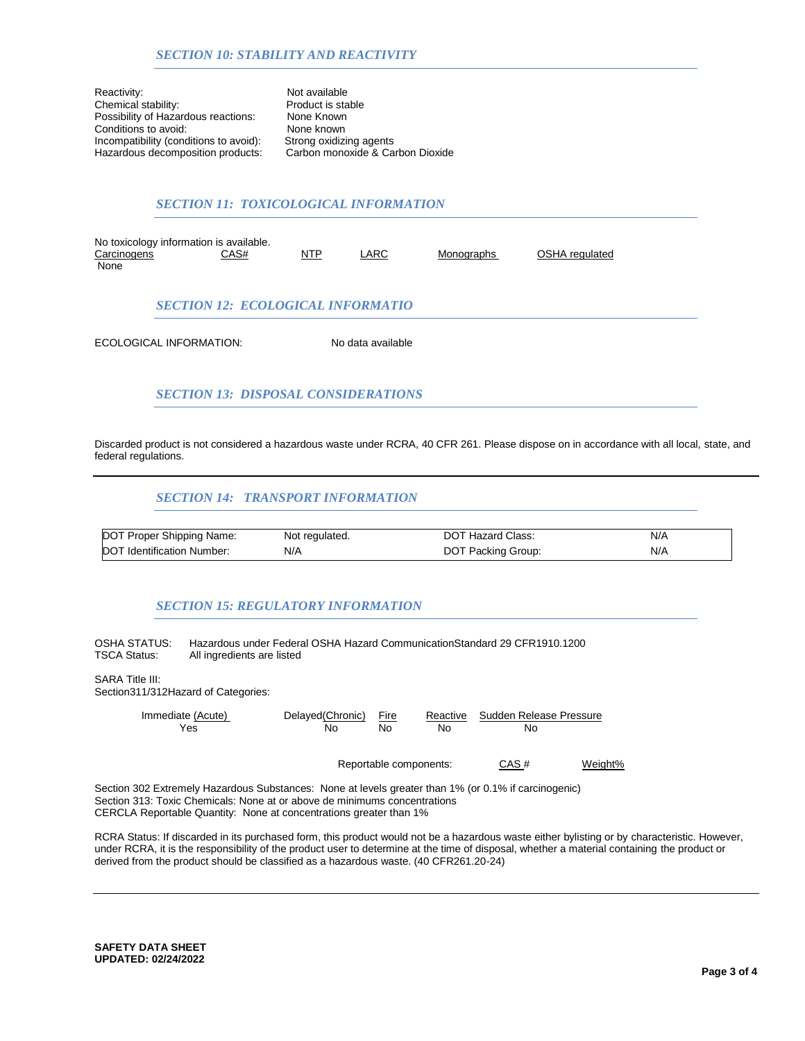Reactivity:<br>
Chemical stability:<br>
Chemical stability:<br>
Product is stable Chemical stability: Product is sta<br>
Possibility of Hazardous reactions: None Known Possibility of Hazardous reactions: None Known<br>Conditions to avoid: None known Conditions to avoid: None known<br>
Incompatibility (conditions to avoid): Strong oxidizing agents Incompatibility (conditions to avoid): Strong oxidizing agents<br>Hazardous decomposition products: Carbon monoxide & Carbon Dioxide Hazardous decomposition products:

## *SECTION 11: TOXICOLOGICAL INFORMATION*

| No toxicology information is available. |                                          |     |      |            |                |  |  |  |  |
|-----------------------------------------|------------------------------------------|-----|------|------------|----------------|--|--|--|--|
| Carcinogens                             | CAS#                                     | NTP | LARC | Monographs | OSHA regulated |  |  |  |  |
| None                                    |                                          |     |      |            |                |  |  |  |  |
|                                         |                                          |     |      |            |                |  |  |  |  |
|                                         | <b>SECTION 12: ECOLOGICAL INFORMATIO</b> |     |      |            |                |  |  |  |  |

ECOLOGICAL INFORMATION: No data available

# *SECTION 13: DISPOSAL CONSIDERATIONS*

Discarded product is not considered a hazardous waste under RCRA, 40 CFR 261. Please dispose on in accordance with all local, state, and federal regulations.

## *SECTION 14: TRANSPORT INFORMATION*

| DOT Proper Shipping Name:  | Not regulated. | <b>DOT Hazard Class:</b> | N/A |
|----------------------------|----------------|--------------------------|-----|
| DOT Identification Number: | N/A            | DOT Packing Group:       | N/A |

## *SECTION 15: REGULATORY INFORMATION*

OSHA STATUS: Hazardous under Federal OSHA Hazard CommunicationStandard 29 CFR1910.1200<br>TSCA Status: All ingredients are listed All ingredients are listed

SARA Title III: Section311/312Hazard of Categories:

| Immediate (Acute)                                                                                                                                                                                                                                       | Delayed (Chronic) | Fire                   | Reactive | Sudden Release Pressure |         |
|---------------------------------------------------------------------------------------------------------------------------------------------------------------------------------------------------------------------------------------------------------|-------------------|------------------------|----------|-------------------------|---------|
| Yes                                                                                                                                                                                                                                                     | No                | No                     | No       | No.                     |         |
|                                                                                                                                                                                                                                                         |                   |                        |          |                         |         |
|                                                                                                                                                                                                                                                         |                   | Reportable components: |          |                         | Weight% |
| Section 302 Extremely Hazardous Substances: None at levels greater than 1% (or 0.1% if carcinogenic)<br>Section 313: Toxic Chemicals: None at or above de minimums concentrations<br>CERCLA Reportable Quantity: None at concentrations greater than 1% |                   |                        |          |                         |         |

RCRA Status: If discarded in its purchased form, this product would not be a hazardous waste either bylisting or by characteristic. However, under RCRA, it is the responsibility of the product user to determine at the time of disposal, whether a material containing the product or derived from the product should be classified as a hazardous waste. (40 CFR261.20-24)